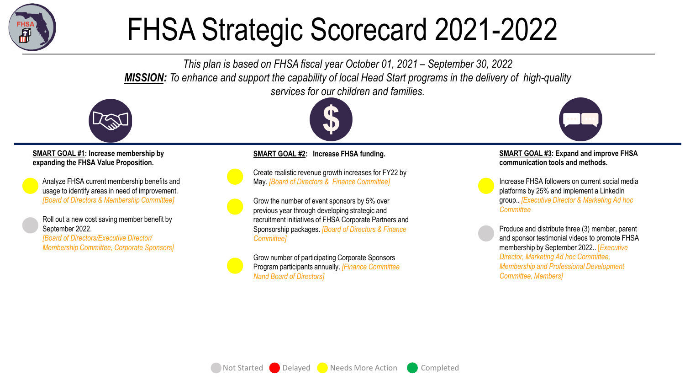

## FHSA Strategic Scorecard 2021-2022

*This plan is based on FHSA fiscal year October 01, 2021 – September 30, 2022 MISSION: To enhance and support the capability of local Head Start programs in the delivery of high-quality services for our children and families.*



**SMART GOAL #1: Increase membership by expanding the FHSA Value Proposition.** 

Analyze FHSA current membership benefits and usage to identify areas in need of improvement. *[Board of Directors & Membership Committee]*

Roll out a new cost saving member benefit by September 2022.

*[Board of Directors/Executive Director/ Membership Committee, Corporate Sponsors]*



## **SMART GOAL #2: Increase FHSA funding.**

Create realistic revenue growth increases for FY22 by May. *[Board of Directors & Finance Committee]*

Grow the number of event sponsors by 5% over previous year through developing strategic and recruitment initiatives of FHSA Corporate Partners and Sponsorship packages. *[Board of Directors & Finance Committee]*

Grow number of participating Corporate Sponsors Program participants annually. *[Finance Committee Nand Board of Directors]*



## **SMART GOAL #3: Expand and improve FHSA communication tools and methods.**

Increase FHSA followers on current social media platforms by 25% and implement a LinkedIn group.. *[Executive Director & Marketing Ad hoc Committee* 

Produce and distribute three (3) member, parent and sponsor testimonial videos to promote FHSA membership by September 2022.. [*Executive Director, Marketing Ad hoc Committee, Membership and Professional Development Committee, Members]*